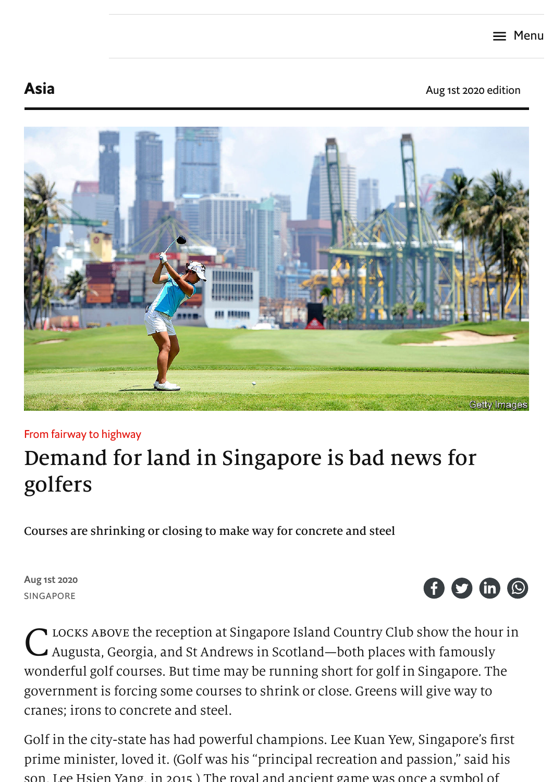[Asia](https://www.economist.com/asia/) **Asia** Aug 1st 2020 [edition](https://www.economist.com/printedition/2020-08-01)



## From fairway to highway

# Demand for land in Singapore is bad news for golfers

Courses are shrinking or closing to make way for concrete and steel

Aug 1st 2020 SINGAPORE



C LOCKS ABOVE the reception at Singapore Island Country Club show the hour in<br>C Augusta, Georgia, and St Andrews in Scotland–both places with famously Augusta, Georgia, and St Andrews in Scotland—both places with famously wonderful golf courses. But time may be running short for golf in Singapore. The government is forcing some courses to shrink or close. Greens will give way to cranes; irons to concrete and steel.

Golf in the city-state has had powerful champions. Lee Kuan Yew, Singapore's first prime minister, loved it. (Golf was his "principal recreation and passion," said his son, Lee Hsien Yang, in 2015 ) The royal and ancient game was once a symbol of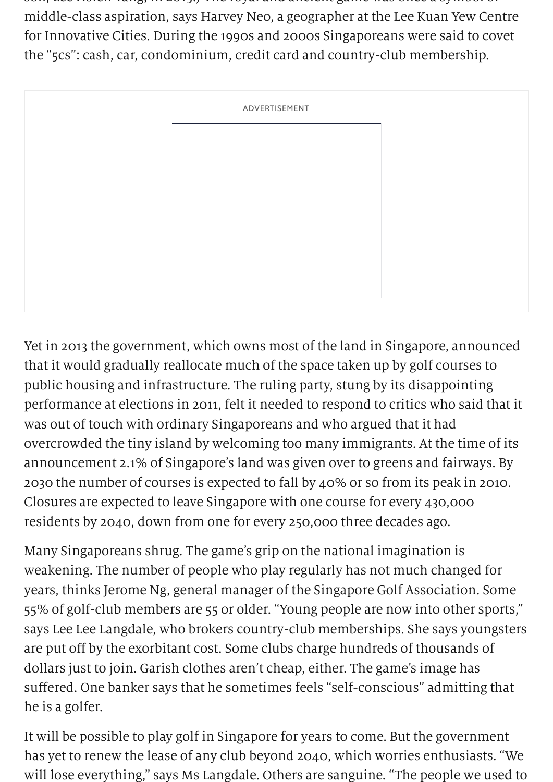son, Lee Hsien Yang, in 2015.) The royal and ancient game was once a symbol of middle-class aspiration, says Harvey Neo, a geographer at the Lee Kuan Yew Centre for Innovative Cities. During the 1990s and 2000s Singaporeans were said to covet the "5cs": cash, car, condominium, credit card and country-club membership.

ADVERTISEMENT

Yet in 2013 the government, which owns most of the land in Singapore, announced that it would gradually reallocate much of the space taken up by golf courses to public housing and infrastructure. The ruling party, stung by its disappointing performance at elections in 2011, felt it needed to respond to critics who said that it was out of touch with ordinary Singaporeans and who argued that it had overcrowded the tiny island by welcoming too many immigrants. At the time of its announcement 2.1% of Singapore's land was given over to greens and fairways. By 2030 the number of courses is expected to fall by 40% or so from its peak in 2010. Closures are expected to leave Singapore with one course for every 430,000 residents by 2040, down from one for every 250,000 three decades ago.

Many Singaporeans shrug. The game's grip on the national imagination is weakening. The number of people who play regularly has not much changed for years, thinks Jerome Ng, general manager of the Singapore Golf Association. Some 55% of golf-club members are 55 or older. "Young people are now into other sports," says Lee Lee Langdale, who brokers country-club memberships. She says youngsters are put off by the exorbitant cost. Some clubs charge hundreds of thousands of dollars just to join. Garish clothes aren't cheap, either. The game's image has suffered. One banker says that he sometimes feels "self-conscious" admitting that he is a golfer.

It will be possible to play golf in Singapore for years to come. But the government has yet to renew the lease of any club beyond 2040, which worries enthusiasts. "We will lose everything," says Ms Langdale. Others are sanguine. "The people we used to